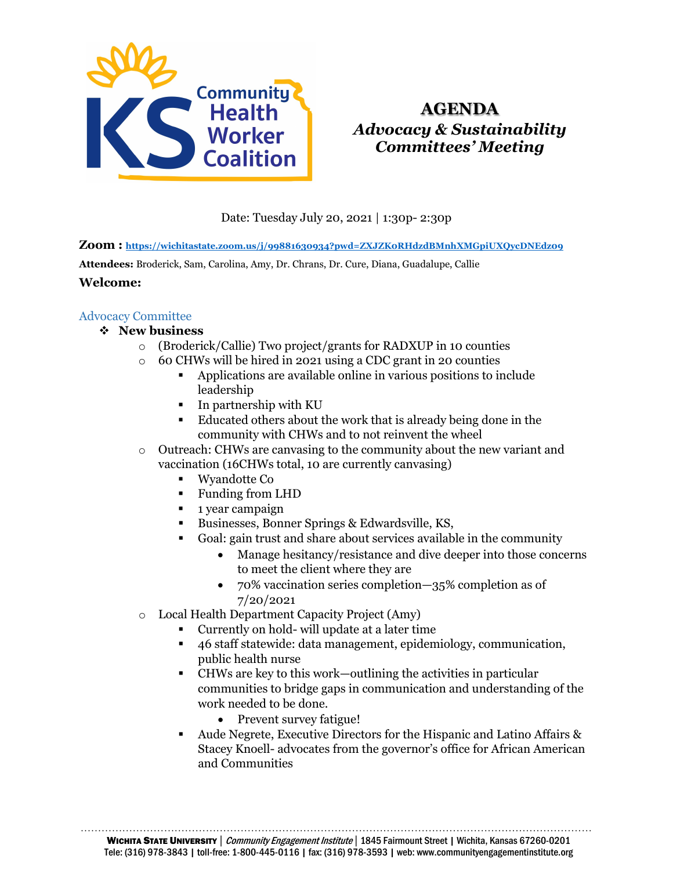

# **AGENDA** *Advocacy & Sustainability Committees' Meeting*

Date: Tuesday July 20, 2021 | 1:30p- 2:30p

**Zoom :<https://wichitastate.zoom.us/j/99881630934?pwd=ZXJZK0RHdzdBMnhXMGpiUXQycDNEdz09>**

**Attendees:** Broderick, Sam, Carolina, Amy, Dr. Chrans, Dr. Cure, Diana, Guadalupe, Callie

#### **Welcome:**

# Advocacy Committee

# **New business**

- o (Broderick/Callie) Two project/grants for RADXUP in 10 counties
- o 60 CHWs will be hired in 2021 using a CDC grant in 20 counties
	- Applications are available online in various positions to include leadership
	- $\blacksquare$  In partnership with KU
	- Educated others about the work that is already being done in the community with CHWs and to not reinvent the wheel
- o Outreach: CHWs are canvasing to the community about the new variant and vaccination (16CHWs total, 10 are currently canvasing)
	- Wyandotte Co
	- Funding from LHD
	- **1** year campaign
	- Businesses, Bonner Springs & Edwardsville, KS,
	- Goal: gain trust and share about services available in the community
		- Manage hesitancy/resistance and dive deeper into those concerns to meet the client where they are
		- 70% vaccination series completion—35% completion as of 7/20/2021
- o Local Health Department Capacity Project (Amy)
	- Currently on hold- will update at a later time
	- 46 staff statewide: data management, epidemiology, communication, public health nurse
	- CHWs are key to this work—outlining the activities in particular communities to bridge gaps in communication and understanding of the work needed to be done.
		- Prevent survey fatigue!
	- Aude Negrete, Executive Directors for the Hispanic and Latino Affairs & Stacey Knoell- advocates from the governor's office for African American and Communities